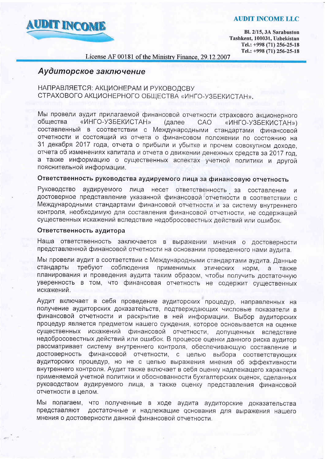## **AUDIT INCOME LLC**



Bl. 2/15, 3A Sarabuston Tashkent, 100031, Uzbekistan Tel.: +998 (71) 256-25-18 Tel.: +998 (71) 256-25-18

License AF 00181 of the Ministry Finance, 29.12.2007

# Аудиторское заключение

## НАПРАВЛЯЕТСЯ: АКЦИОНЕРАМ И РУКОВОДСВУ СТРАХОВОГО АКЦИОНЕРНОГО ОБЩЕСТВА «ИНГО-УЗБЕКИСТАН».

Мы провели аудит прилагаемой финансовой отчетности страхового акционерного общества «ИНГО-УЗБЕКИСТАН» (далее **CAO** «ИНГО-УЗБЕКИСТАН») составленный в соответствии с Международными стандартами финансовой отчетности и состоящий из отчета о финансовом положении по состоянию на 31 декабря 2017 года, отчета о прибыли и убытке и прочем совокупном доходе. отчета об изменениях капитала и отчета о движении денежных средств за 2017 год, а также информацию о существенных аспектах учетной политики и другой пояснительной информации.

# Ответственность руководства аудируемого лица за финансовую отчетность

Руководство аудируемого лица несет ответственность за составление и достоверное представление указанной финансовой отчетности в соответствии с Международными стандартами финансовой отчетности и за систему внутреннего контроля, необходимую для составления финансовой отчетности, не содержащей существенных искажений вследствие недобросовестных действий или ошибок.

## Ответственность аудитора

Наша ответственность заключается в выражении мнения о достоверности представленной финансовой отчетности на основании проведенного нами аудита.

Мы провели аудит в соответствии с Международными стандартами аудита. Данные стандарты требуют соблюдения применимых этических норм, а также планирования и проведения аудита таким образом, чтобы получить достаточную уверенность в том, что финансовая отчетность не содержит существенных искажений.

Аудит включает в себя проведение аудиторских процедур, направленных на получение аудиторских доказательств, подтверждающих числовые показатели в финансовой отчетности и раскрытие в ней информации. Выбор аудиторских процедур является предметом нашего суждения, которое основывается на оценке искажений финансовой отчетности, допущенных вследствие существенных недобросовестных действий или ошибок. В процессе оценки данного риска аудитор рассматривает систему внутреннего контроля, обеспечивающую составление и достоверность финансовой отчетности, с целью выбора соответствующих аудиторских процедур, но не с целью выражения мнения об эффективности внутреннего контроля. Аудит также включает в себя оценку надлежащего характера применяемой учетной политики и обоснованности бухгалтерских оценок, сделанных руководством аудируемого лица, а также оценку представления финансовой отчетности в целом.

Мы полагаем, что полученные в ходе аудита аудиторские доказательства достаточные и надлежащие основания для выражения нашего представляют мнения о достоверности данной финансовой отчетности.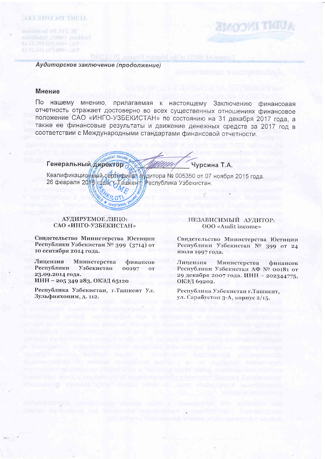BL 2/15, 3A Sarabuston Dad Rent (1998) Jakobland 81-85-031 (15) 800+ (15T) THE PRESIDENTS ARE AND THE

**MUNITION PROPERTY** 

Аудиторское заключение (продолжение)

### **Мнение**

По нашему мнению, прилагаемая к настоящему Заключению финансовая отчетность отражает достоверно во всех существенных отношениях финансовое положение САО «ИНГО-УЗБЕКИСТАН» по состоянию на 31 декабря 2017 года, а также ее финансовые результаты и движение денежных средств за 2017 год в соответствии с Международными стандартами финансовой отчетности.

License AF 00131 of the Ministry Finance, 29 13:2007

Генеральный директор

Чурсина Т.А.

Квалификационный сертификал АУдитора № 005350 от 07 ноября 2015 года. 26 февраля 2018 года съ Ташкен В Республика Узбекистан.

#### АУДИРУЕМОЕ ЛИПО: САО «ИНГО-УЗБЕКИСТАН»

**UKENT SHAHI** 

Свидетельство Министерства Юстиции Республики Узбекистан № 399 (3714) от 10 сентября 2014 года.

Лицензия Министерства финансов Республики Узбекистан 00197 or 23.09.2014 года. ИНН - 205 349 283, ОКЭД 65120

Республика Узбекистан, г.Ташкент Ул. Зульфияхоним, д. 112.

#### НЕЗАВИСИМЫЙ АУДИТОР: 000 «Audit income»

Свидетельство Министерства Юстиции Республики Узбекистан № 399 от 24 июля 1997 года.

Лицензия Министерства финансов Республики Узбекистан АФ № 00181 от 29 декабря 2007 года. ИНН - 202344775, ОКЭД 69202.

Республика Узбекистан г. Ташкент, ул. Сарабустон 3-А, корпус 2/15.

propost oncorrelays mather some **WARREN AN THREADS adult from a policy radio**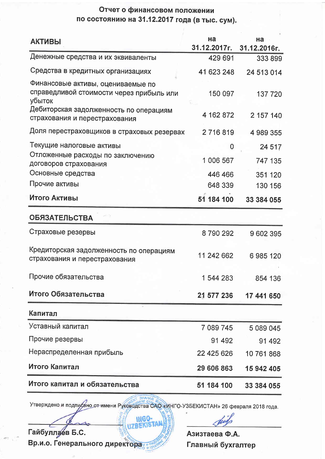# Отчет о финансовом положении по состоянию на 31.12.2017 года (в тыс. сум).

| Денежные средства и их эквиваленты<br>Средства в кредитных организациях<br>Финансовые активы, оцениваемые по<br>справедливой стоимости через прибыль или<br>убыток<br>Дебиторская задолженность по операциям<br>страхования и перестрахования<br>Доля перестраховщиков в страховых резервах | 429 691<br>41 623 248<br>150 097<br>4 162 872<br>2 716 819<br>$\mathbf 0$ | 333 899<br>24 513 014<br>137 720<br>2 157 140<br>4 989 355 |
|---------------------------------------------------------------------------------------------------------------------------------------------------------------------------------------------------------------------------------------------------------------------------------------------|---------------------------------------------------------------------------|------------------------------------------------------------|
|                                                                                                                                                                                                                                                                                             |                                                                           |                                                            |
|                                                                                                                                                                                                                                                                                             |                                                                           |                                                            |
|                                                                                                                                                                                                                                                                                             |                                                                           |                                                            |
|                                                                                                                                                                                                                                                                                             |                                                                           |                                                            |
| Текущие налоговые активы                                                                                                                                                                                                                                                                    |                                                                           | 24 517                                                     |
| Отложенные расходы по заключению<br>договоров страхования                                                                                                                                                                                                                                   | 1 006 567                                                                 | 747 135                                                    |
| Основные средства                                                                                                                                                                                                                                                                           | 446 466                                                                   | 351 120                                                    |
| Прочие активы                                                                                                                                                                                                                                                                               | 648 339                                                                   | 130 156                                                    |
| Итого Активы                                                                                                                                                                                                                                                                                | 51 184 100                                                                | 33 384 055                                                 |
| <b>ОБЯЗАТЕЛЬСТВА</b>                                                                                                                                                                                                                                                                        |                                                                           |                                                            |
| Страховые резервы                                                                                                                                                                                                                                                                           | 8790292                                                                   | 9602395                                                    |
| Кредиторская задолженность по операциям<br>страхования и перестрахования                                                                                                                                                                                                                    | 11 242 662                                                                | 6985120                                                    |
| Прочие обязательства                                                                                                                                                                                                                                                                        | 1 544 283                                                                 | 854 136                                                    |
| Итого Обязательства                                                                                                                                                                                                                                                                         | 21 577 236                                                                | 17 441 650                                                 |
| Капитал                                                                                                                                                                                                                                                                                     |                                                                           |                                                            |
| Уставный капитал                                                                                                                                                                                                                                                                            | 7 089 745                                                                 | 5 089 045                                                  |
| Прочие резервы                                                                                                                                                                                                                                                                              | 91 492                                                                    | 91 492                                                     |
| Нераспределенная прибыль                                                                                                                                                                                                                                                                    | 22 425 626                                                                | 10 761 868                                                 |
| Итого Капитал                                                                                                                                                                                                                                                                               | 29 606 863                                                                | 15 942 405                                                 |
| Итого капитал и обязательства                                                                                                                                                                                                                                                               | 51 184 100                                                                | 33 384 055                                                 |

Утверждено и подпусано от имени Руководства САО «ИНГО-УЗБЕКИСТАН» 26 февраля 2018 года.

INGO-**ZB#K** Гайбуллаев Б.С. Вр.и.о. Генерального директора

Азизтаева Ф.А. Главный бухгалтер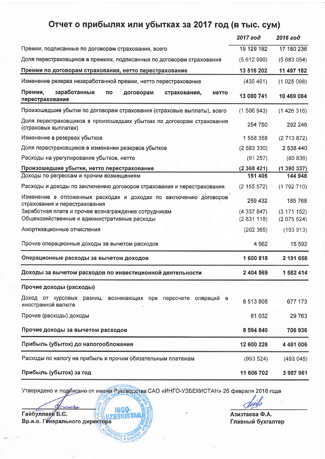# Отчет о прибылях или убытках за 2017 год (в тыс. сум)

|                                                                                                      | 2017 год               | 2016 год                 |
|------------------------------------------------------------------------------------------------------|------------------------|--------------------------|
| Премии, подписанные по договорам страхования, всего                                                  | 19 129 192             | 17 180 236               |
| Доля перестраховщиков в премиях, подписанных по договорам страхования                                | (5612990)              | (5683054)                |
| Премии по договорам страхования, нетто перестрахование                                               | 13 516 202             | 11 497 182               |
| Изменение резерва незаработанной премии, нетто перестрахование                                       | (435 461)              | (1028098)                |
| Премии,<br>заработанные<br>по<br>договорам<br>страхования,<br>нетто<br>перестрахование               | 13 080 741             | 10 469 084               |
| Произошедшие убытки по договорам страхования (страховые выплаты), всего                              | (1506943)              | (1426316)                |
| Доля перестраховщиков в произошедших убытках по договорам страхования<br>(страховых выплатах)        | 254 750                | 292 246                  |
| Изменение в резервах убытков                                                                         | 1 558 358              | (2713872)                |
| Доля перестраховщиков в изменении резервов убытков                                                   | (2583330)              | 2 538 440                |
| Расходы на урегулирование убытков, нетто                                                             | (91 257)               | (80 836)                 |
| Произошедшие убытки, нетто перестрахование                                                           | (2368421)              | (1390337)                |
| Доходы по регрессам и прочим возмещениям                                                             | 151 405                | 144 948                  |
| Расходы и доходы по заключению договоров страхования и перестрахования                               | $(2\;155\;572)$        | (1792710)                |
| Изменение в отложенных расходах и доходах по заключению договоров<br>страхования и перестрахования   | 259 432                | 185 768                  |
| Заработная плата и прочее вознаграждение сотрудникам<br>Общехозяйственные и административные расходы | (4337847)<br>(2831118) | (3 171 152)<br>(2075624) |
| Амортизационные отчисления                                                                           | (202 365)              | (193913)                 |
| Прочие операционные доходы за вычетом расходов                                                       | 4 5 6 2                | 15 5 9 2                 |
| Операционные расходы за вычетом доходов                                                              | 1 600 818              | 2 191 656                |
| Доходы за вычетом расходов по инвестиционной деятельности                                            | 2 404 569              | 1 582 414                |
| Прочие доходы (расходы)                                                                              |                        |                          |
| Доход от курсовых разниц,<br>возникающих при пересчете операций в<br>иностранной валюте              | 8 513 808              | 677 173                  |
| Прочие (расходы) доходы                                                                              | 81 032                 | 29 763                   |
| Прочие доходы за вычетом расходов                                                                    | 8 594 840              | 706936                   |
| Прибыль (убыток) до налогообложения                                                                  | 12 600 226             | 4 481 006                |
| Расходы по налогу на прибыль и прочим обязательным платежам                                          | (993524)               | (493 045)                |
| Прибыль (убыток) за год                                                                              | 11 606 702             | 3 987 961                |

Утверждено и по*ди*исано от имени Руководства САО «ИНГО-УЗБЕКИСТАН» 26 февраля 2018 года

**INGO** 

 $50 * m$ 

r

Азизтаева Ф.А. Bp"n.o. l-naeHurfi Syxranrep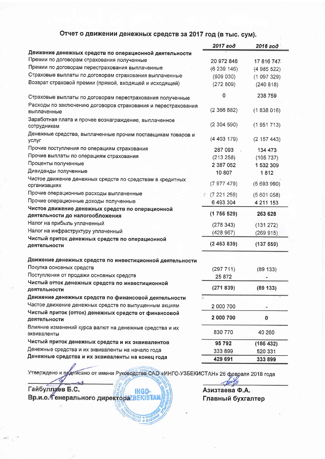# Отчет о движении денежных средств за 2017 год (в тыс. сум).

|                                                                                     | 2017 год   | 2016 год    |
|-------------------------------------------------------------------------------------|------------|-------------|
| Движение денежных средств по операционной деятельности                              |            |             |
| Премии по договорам страхования полученные                                          | 20 972 848 | 17 816 747. |
| Премии по договорам перестрахования выплаченные                                     | (6239146)  | (4985522)   |
| Страховые выплаты по договорам страхования выплаченные                              | (909 030)  | (1097329)   |
| Возврат страховой премии (прямой, входящей и исходящей)                             | (272809)   | (240 818)   |
| Страховые выплаты по договорам перестрахования полученные                           | 0          | 238 759     |
| Расходы по заключению договоров страхования и перестрахования<br>выплаченные        | (2366882)  | (1838016)   |
| Заработная плата и прочее вознаграждение, выплаченное<br>сотрудникам                | (2304590)  | (1951713)   |
| Денежные средства, выплаченные прочим поставщикам товаров и<br>услуг                | (4403179)  | (2157443)   |
| Прочие поступления по операциям страхования                                         | 287 093    | 134 473     |
| Прочие выплаты по операциям страхования                                             | (213 258)  | (105 737)   |
| Проценты полученные                                                                 | 2 387 052  | 1 532 309   |
| Дивиденды полученные                                                                | 10 807     | 1812        |
| Чистое движение денежных средств по средствам в кредитных<br>организациях           | (7977479)  | (5693990)   |
| Прочие операционные расходы выплаченные                                             | (7221259)  | (5601058)   |
| Прочие операционные доходы полученные                                               | 6 493 304  | 4 211 153   |
| Чистое движение денежных средств по операционной<br>деятельности до налогообложения | (1756529)  | 263 628     |
| Налог на прибыль уплаченный                                                         | (278343)   | (131 272)   |
| Налог на инфраструктуру уплаченный                                                  | (428967)   | (269915)    |
| Чистый приток денежных средств по операционной<br>деятельности                      | (2463839)  | (137559)    |
| Движение денежных средств по инвестиционной деятельности                            |            |             |
| Покупка основных средств                                                            | (297711)   | (89 133)    |
| Поступления от продажи основных средств                                             | 25 872     |             |
| Чистый отток денежных средств по инвестиционной<br>деятельности                     | (271839)   | (89133)     |
| Движение денежных средств по финансовой деятельности                                |            |             |
| Частое движение денежных средств по выпущенным акциям                               | 2 000 700  |             |
| Чистый приток (отток) денежных средств от финансовой<br>деятельности                | 2 000 700  | 0           |
| Влияние изменений курса валют на денежные средства и их<br>эквиваленты              | 830 770    | 40 260      |
| Чистый приток денежных средств и их эквивалентов                                    | 95792      | (186 432)   |
| Денежные средства и их эквиваленты на начало года                                   | 333 899    | 520 331     |
| Денежные средства и их эквиваленты на конец года                                    | 429 691    | 333 899     |

Утверждено и пратисано от имени Руководства САО «ИНГО-УЗБЕКИСТАН» 26 февраля 2018 года

**PO W DIA** 

Гайбуллаев Б.С. Вр.и.о. Тенерального директора BEKISTAN

Азизтаева Ф.А. Главный бухгалтер